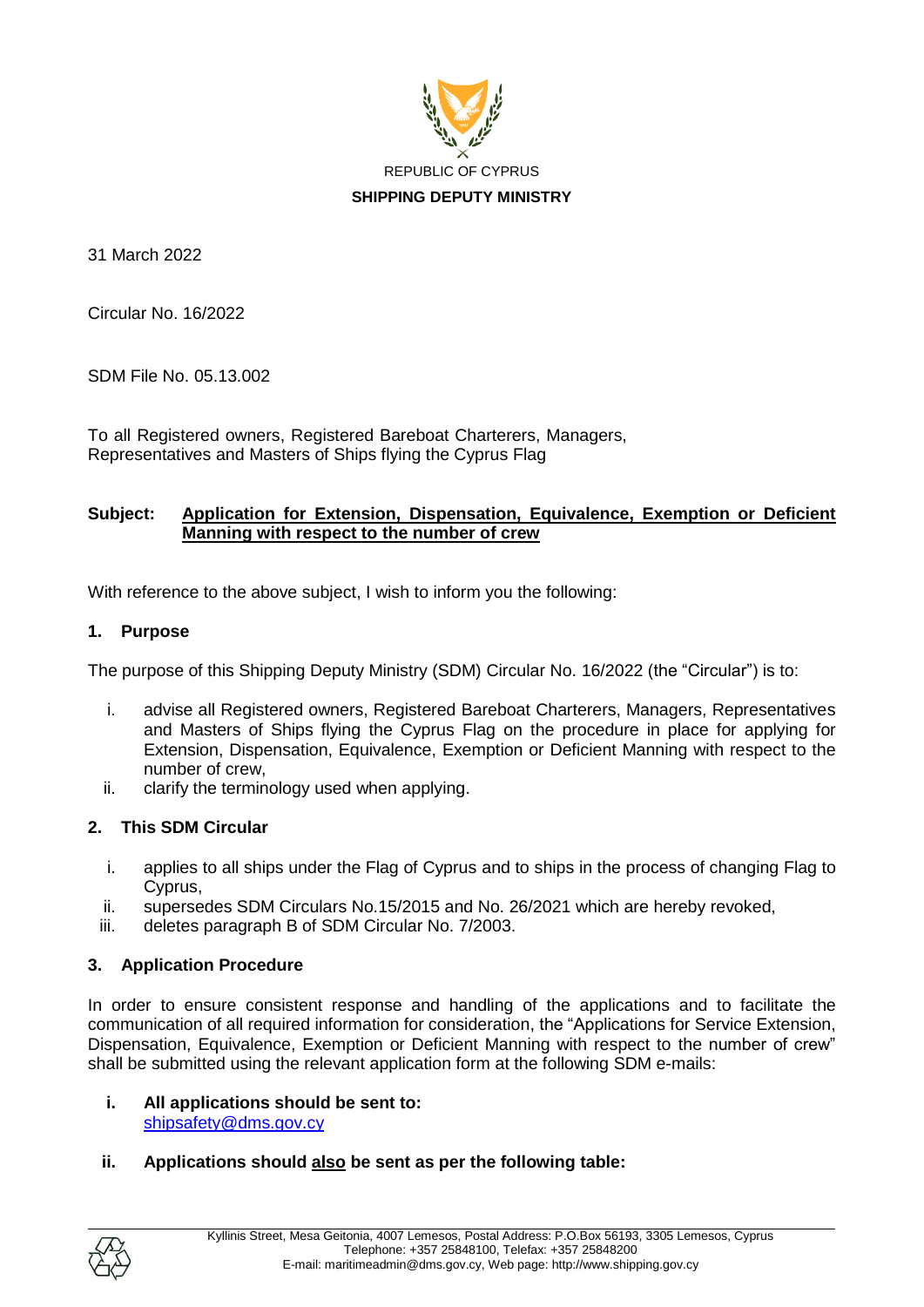

31 March 2022

Circular No. 16/2022

SDM File No. 05.13.002

To all Registered owners, Registered Bareboat Charterers, Managers, Representatives and Masters of Ships flying the Cyprus Flag

## **Subject: Application for Extension, Dispensation, Equivalence, Exemption or Deficient Manning with respect to the number of crew**

With reference to the above subject, I wish to inform you the following:

## **1. Purpose**

The purpose of this Shipping Deputy Ministry (SDM) Circular No. 16/2022 (the "Circular") is to:

- i. advise all Registered owners, Registered Bareboat Charterers, Managers, Representatives and Masters of Ships flying the Cyprus Flag on the procedure in place for applying for Extension, Dispensation, Equivalence, Exemption or Deficient Manning with respect to the number of crew,
- ii. clarify the terminology used when applying.

# **2. This SDM Circular**

- i. applies to all ships under the Flag of Cyprus and to ships in the process of changing Flag to Cyprus,
- ii. supersedes SDM Circulars No.15/2015 and No. 26/2021 which are hereby revoked,
- iii. deletes paragraph B of SDM Circular No. 7/2003.

# **3. Application Procedure**

In order to ensure consistent response and handling of the applications and to facilitate the communication of all required information for consideration, the "Applications for Service Extension, Dispensation, Equivalence, Exemption or Deficient Manning with respect to the number of crew" shall be submitted using the relevant application form at the following SDM e-mails:

### **i. All applications should be sent to:** [shipsafety@dms.gov.cy](mailto:shipsafety@dms.gov.cy)

# **ii. Applications should also be sent as per the following table:**

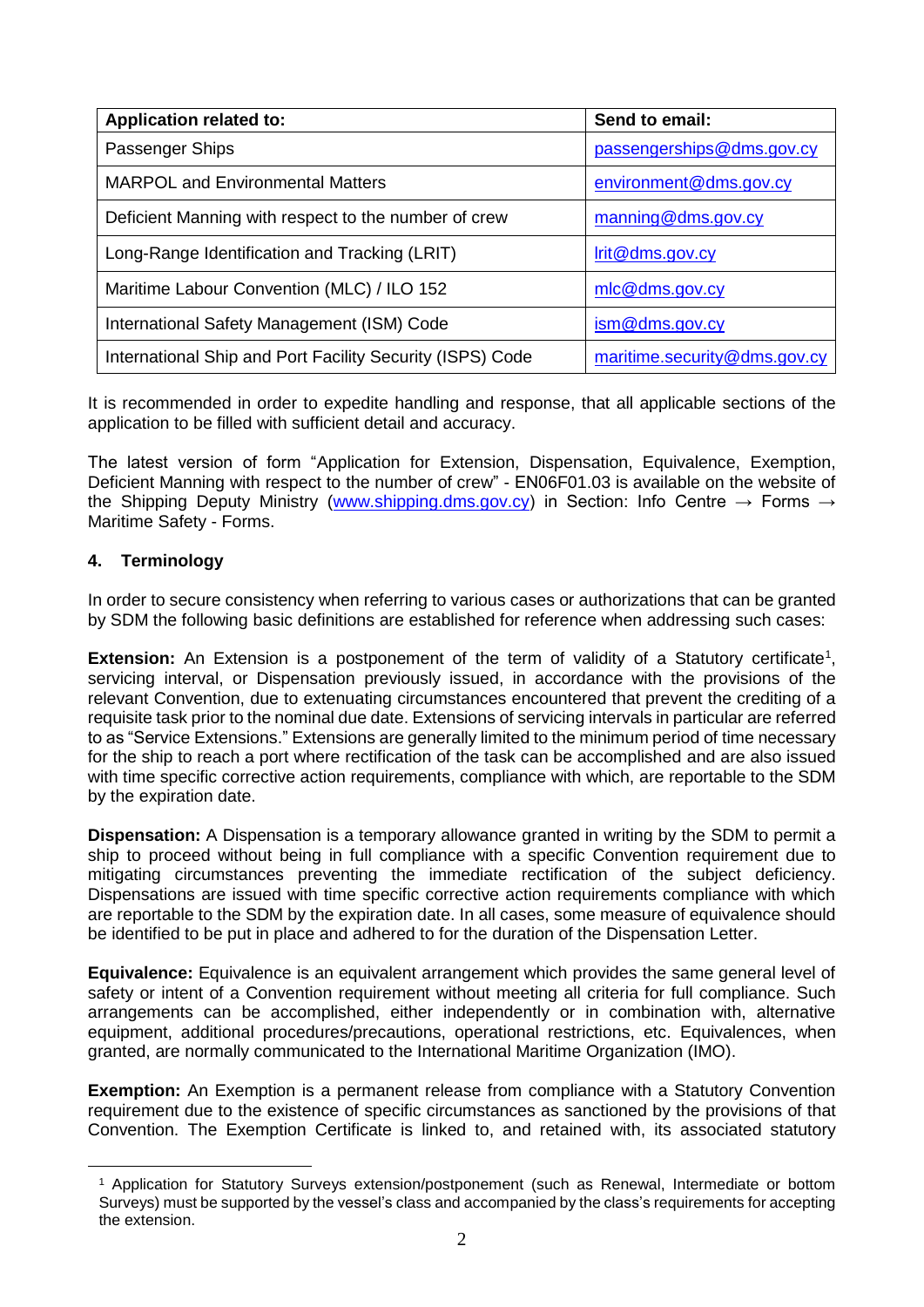| <b>Application related to:</b>                            | Send to email:               |
|-----------------------------------------------------------|------------------------------|
| Passenger Ships                                           | passengerships@dms.gov.cy    |
| <b>MARPOL and Environmental Matters</b>                   | environment@dms.gov.cy       |
| Deficient Manning with respect to the number of crew      | manning@dms.gov.cy           |
| Long-Range Identification and Tracking (LRIT)             | lrit@dms.gov.cy              |
| Maritime Labour Convention (MLC) / ILO 152                | mlc@dms.gov.gov              |
| International Safety Management (ISM) Code                | $\mathsf{ism@dms.gov.cy}$    |
| International Ship and Port Facility Security (ISPS) Code | maritime.security@dms.gov.cy |

It is recommended in order to expedite handling and response, that all applicable sections of the application to be filled with sufficient detail and accuracy.

The latest version of form "Application for Extension, Dispensation, Equivalence, Exemption, Deficient Manning with respect to the number of crew" - ΕΝ06F01.03 is available on the website of the Shipping Deputy Ministry [\(www.shipping.dms.gov.cy\)](http://www.shipping.dms.gov.cy/) in Section: Info Centre  $\rightarrow$  Forms  $\rightarrow$ Maritime Safety - Forms.

# **4. Terminology**

<u>.</u>

In order to secure consistency when referring to various cases or authorizations that can be granted by SDM the following basic definitions are established for reference when addressing such cases:

**Extension:** An Extension is a postponement of the term of validity of a Statutory certificate<sup>1</sup>, servicing interval, or Dispensation previously issued, in accordance with the provisions of the relevant Convention, due to extenuating circumstances encountered that prevent the crediting of a requisite task prior to the nominal due date. Extensions of servicing intervals in particular are referred to as "Service Extensions." Extensions are generally limited to the minimum period of time necessary for the ship to reach a port where rectification of the task can be accomplished and are also issued with time specific corrective action requirements, compliance with which, are reportable to the SDM by the expiration date.

**Dispensation:** A Dispensation is a temporary allowance granted in writing by the SDM to permit a ship to proceed without being in full compliance with a specific Convention requirement due to mitigating circumstances preventing the immediate rectification of the subject deficiency. Dispensations are issued with time specific corrective action requirements compliance with which are reportable to the SDM by the expiration date. In all cases, some measure of equivalence should be identified to be put in place and adhered to for the duration of the Dispensation Letter.

**Equivalence:** Equivalence is an equivalent arrangement which provides the same general level of safety or intent of a Convention requirement without meeting all criteria for full compliance. Such arrangements can be accomplished, either independently or in combination with, alternative equipment, additional procedures/precautions, operational restrictions, etc. Equivalences, when granted, are normally communicated to the International Maritime Organization (IMO).

**Exemption:** An Exemption is a permanent release from compliance with a Statutory Convention requirement due to the existence of specific circumstances as sanctioned by the provisions of that Convention. The Exemption Certificate is linked to, and retained with, its associated statutory

<sup>1</sup> Application for Statutory Surveys extension/postponement (such as Renewal, Intermediate or bottom Surveys) must be supported by the vessel's class and accompanied by the class's requirements for accepting the extension.